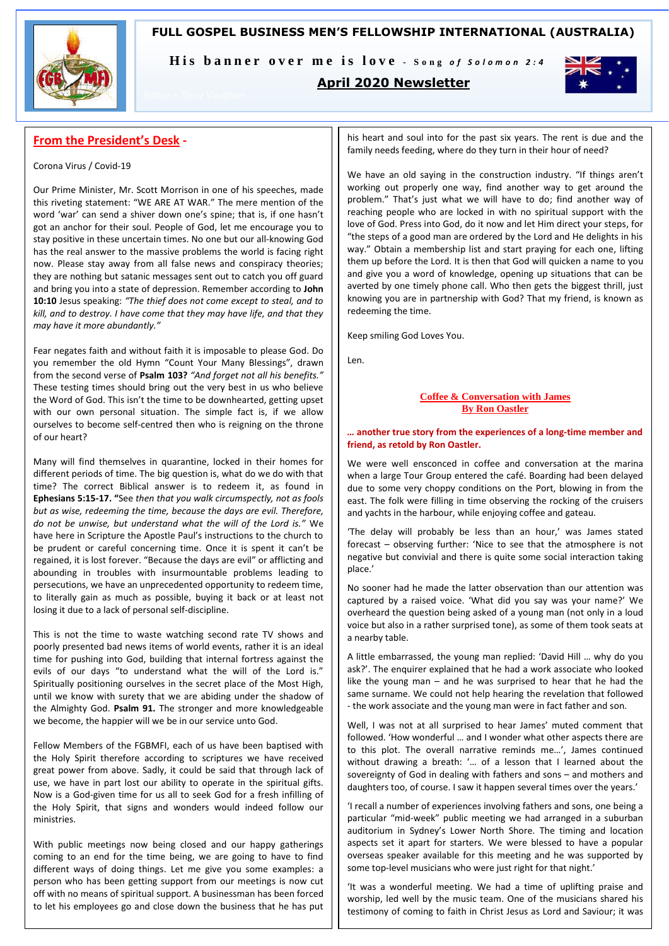# **FULL GOSPEL BUSINESS MEN'S FELLOWSHIP INTERNATIONAL (AUSTRALIA)**



His banner over me is love - Song of Solomon 2:4

# **April 2020 Newsletter**



# **From the President's Desk -**

## Corona Virus / Covid-19

Our Prime Minister, Mr. Scott Morrison in one of his speeches, made this riveting statement: "WE ARE AT WAR." The mere mention of the word 'war' can send a shiver down one's spine; that is, if one hasn't got an anchor for their soul. People of God, let me encourage you to stay positive in these uncertain times. No one but our all-knowing God has the real answer to the massive problems the world is facing right now. Please stay away from all false news and conspiracy theories; they are nothing but satanic messages sent out to catch you off guard and bring you into a state of depression. Remember according to **John 10:10** Jesus speaking: *"The thief does not come except to steal, and to kill, and to destroy. I have come that they may have life, and that they may have it more abundantly."*

Fear negates faith and without faith it is imposable to please God. Do you remember the old Hymn "Count Your Many Blessings", drawn from the second verse of **Psalm 103?** *"And forget not all his benefits."* These testing times should bring out the very best in us who believe the Word of God. This isn't the time to be downhearted, getting upset with our own personal situation. The simple fact is, if we allow ourselves to become self-centred then who is reigning on the throne of our heart?

Many will find themselves in quarantine, locked in their homes for different periods of time. The big question is, what do we do with that time? The correct Biblical answer is to redeem it, as found in **Ephesians 5:15-17. "**See *then that you walk circumspectly, not as fools but as wise, redeeming the time, because the days are evil. Therefore, do not be unwise, but understand what the will of the Lord is."* We have here in Scripture the Apostle Paul's instructions to the church to be prudent or careful concerning time. Once it is spent it can't be regained, it is lost forever. "Because the days are evil" or afflicting and abounding in troubles with insurmountable problems leading to persecutions, we have an unprecedented opportunity to redeem time, to literally gain as much as possible, buying it back or at least not losing it due to a lack of personal self-discipline.

This is not the time to waste watching second rate TV shows and poorly presented bad news items of world events, rather it is an ideal time for pushing into God, building that internal fortress against the evils of our days "to understand what the will of the Lord is." Spiritually positioning ourselves in the secret place of the Most High, until we know with surety that we are abiding under the shadow of the Almighty God. **Psalm 91.** The stronger and more knowledgeable we become, the happier will we be in our service unto God.

Fellow Members of the FGBMFI, each of us have been baptised with the Holy Spirit therefore according to scriptures we have received great power from above. Sadly, it could be said that through lack of use, we have in part lost our ability to operate in the spiritual gifts. Now is a God-given time for us all to seek God for a fresh infilling of the Holy Spirit, that signs and wonders would indeed follow our ministries.

With public meetings now being closed and our happy gatherings coming to an end for the time being, we are going to have to find different ways of doing things. Let me give you some examples: a person who has been getting support from our meetings is now cut off with no means of spiritual support. A businessman has been forced to let his employees go and close down the business that he has put

his heart and soul into for the past six years. The rent is due and the family needs feeding, where do they turn in their hour of need?

We have an old saying in the construction industry. "If things aren't working out properly one way, find another way to get around the problem." That's just what we will have to do; find another way of reaching people who are locked in with no spiritual support with the love of God. Press into God, do it now and let Him direct your steps, for "the steps of a good man are ordered by the Lord and He delights in his way." Obtain a membership list and start praying for each one, lifting them up before the Lord. It is then that God will quicken a name to you and give you a word of knowledge, opening up situations that can be averted by one timely phone call. Who then gets the biggest thrill, just knowing you are in partnership with God? That my friend, is known as redeeming the time.

Keep smiling God Loves You.

Len.

## **Coffee & Conversation with James By Ron Oastler**

### *…* **another true story from the experiences of a long-time member and friend, as retold by Ron Oastler.**

We were well ensconced in coffee and conversation at the marina when a large Tour Group entered the café. Boarding had been delayed due to some very choppy conditions on the Port, blowing in from the east. The folk were filling in time observing the rocking of the cruisers and yachts in the harbour, while enjoying coffee and gateau.

'The delay will probably be less than an hour,' was James stated forecast – observing further: 'Nice to see that the atmosphere is not negative but convivial and there is quite some social interaction taking place.'

No sooner had he made the latter observation than our attention was captured by a raised voice. 'What did you say was your name?' We overheard the question being asked of a young man (not only in a loud voice but also in a rather surprised tone), as some of them took seats at a nearby table.

A little embarrassed, the young man replied: 'David Hill … why do you ask?'. The enquirer explained that he had a work associate who looked like the young man – and he was surprised to hear that he had the same surname. We could not help hearing the revelation that followed - the work associate and the young man were in fact father and son.

Well, I was not at all surprised to hear James' muted comment that followed. 'How wonderful … and I wonder what other aspects there are to this plot. The overall narrative reminds me…', James continued without drawing a breath: '… of a lesson that I learned about the sovereignty of God in dealing with fathers and sons – and mothers and daughters too, of course. I saw it happen several times over the years.'

'I recall a number of experiences involving fathers and sons, one being a particular "mid-week" public meeting we had arranged in a suburban auditorium in Sydney's Lower North Shore. The timing and location aspects set it apart for starters. We were blessed to have a popular overseas speaker available for this meeting and he was supported by some top-level musicians who were just right for that night.'

'It was a wonderful meeting. We had a time of uplifting praise and worship, led well by the music team. One of the musicians shared his testimony of coming to faith in Christ Jesus as Lord and Saviour; it was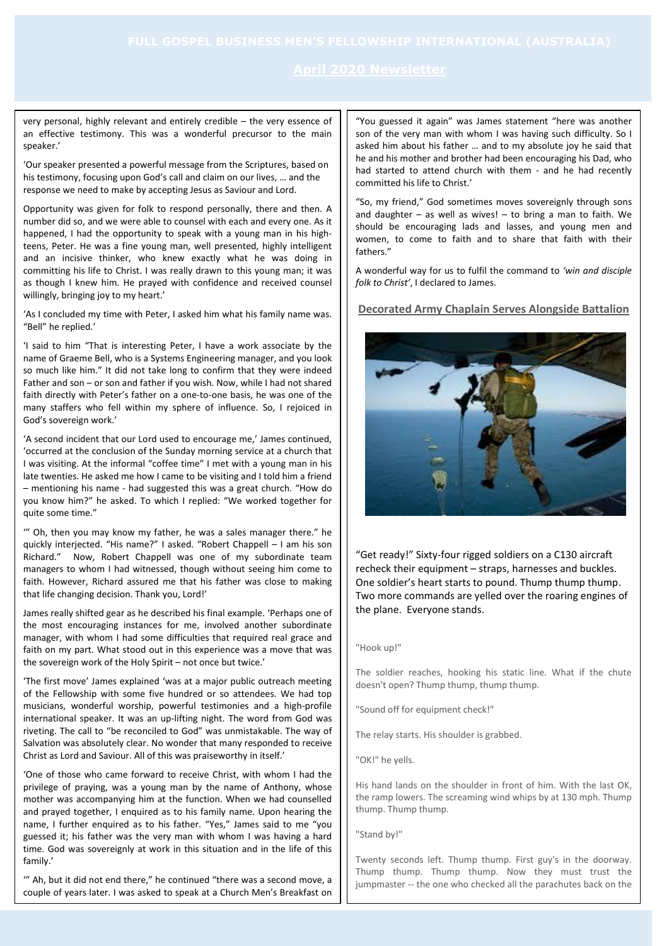very personal, highly relevant and entirely credible – the very essence of an effective testimony. This was a wonderful precursor to the main speaker.'

'Our speaker presented a powerful message from the Scriptures, based on his testimony, focusing upon God's call and claim on our lives, … and the response we need to make by accepting Jesus as Saviour and Lord.

Opportunity was given for folk to respond personally, there and then. A number did so, and we were able to counsel with each and every one. As it happened, I had the opportunity to speak with a young man in his highteens, Peter. He was a fine young man, well presented, highly intelligent and an incisive thinker, who knew exactly what he was doing in committing his life to Christ. I was really drawn to this young man; it was as though I knew him. He prayed with confidence and received counsel willingly, bringing joy to my heart.'

'As I concluded my time with Peter, I asked him what his family name was. "Bell" he replied.'

'I said to him "That is interesting Peter, I have a work associate by the name of Graeme Bell, who is a Systems Engineering manager, and you look so much like him." It did not take long to confirm that they were indeed Father and son – or son and father if you wish. Now, while I had not shared faith directly with Peter's father on a one-to-one basis, he was one of the many staffers who fell within my sphere of influence. So, I rejoiced in God's sovereign work.'

'A second incident that our Lord used to encourage me,' James continued, 'occurred at the conclusion of the Sunday morning service at a church that I was visiting. At the informal "coffee time" I met with a young man in his late twenties. He asked me how I came to be visiting and I told him a friend – mentioning his name - had suggested this was a great church. "How do you know him?" he asked. To which I replied: "We worked together for quite some time."

'" Oh, then you may know my father, he was a sales manager there." he quickly interjected. "His name?" I asked. "Robert Chappell – I am his son Richard." Now, Robert Chappell was one of my subordinate team managers to whom I had witnessed, though without seeing him come to faith. However, Richard assured me that his father was close to making that life changing decision. Thank you, Lord!'

James really shifted gear as he described his final example. 'Perhaps one of the most encouraging instances for me, involved another subordinate manager, with whom I had some difficulties that required real grace and faith on my part. What stood out in this experience was a move that was the sovereign work of the Holy Spirit – not once but twice.'

'The first move' James explained 'was at a major public outreach meeting of the Fellowship with some five hundred or so attendees. We had top musicians, wonderful worship, powerful testimonies and a high-profile international speaker. It was an up-lifting night. The word from God was riveting. The call to "be reconciled to God" was unmistakable. The way of Salvation was absolutely clear. No wonder that many responded to receive Christ as Lord and Saviour. All of this was praiseworthy in itself.'

'One of those who came forward to receive Christ, with whom I had the privilege of praying, was a young man by the name of Anthony, whose mother was accompanying him at the function. When we had counselled and prayed together, I enquired as to his family name. Upon hearing the name, I further enquired as to his father. "Yes," James said to me "you guessed it; his father was the very man with whom I was having a hard time. God was sovereignly at work in this situation and in the life of this family.'

'" Ah, but it did not end there," he continued "there was a second move, a couple of years later. I was asked to speak at a Church Men's Breakfast on the Central Coast. It was the Central Coast. It was the  $\mathcal{L}_{\mathcal{A}}$ 

"You guessed it again" was James statement "here was another son of the very man with whom I was having such difficulty. So I asked him about his father … and to my absolute joy he said that he and his mother and brother had been encouraging his Dad, who had started to attend church with them - and he had recently committed his life to Christ.'

"So, my friend," God sometimes moves sovereignly through sons and daughter  $-$  as well as wives!  $-$  to bring a man to faith. We should be encouraging lads and lasses, and young men and women, to come to faith and to share that faith with their fathers."

A wonderful way for us to fulfil the command to *'win and disciple folk to Christ'*, I declared to James.

# **Decorated Army Chaplain Serves Alongside Battalion**



"Get ready!" Sixty-four rigged soldiers on a C130 aircraft recheck their equipment – straps, harnesses and buckles. One soldier's heart starts to pound. Thump thump thump. Two more commands are yelled over the roaring engines of the plane. Everyone stands.

### "Hook up!"

The soldier reaches, hooking his static line. What if the chute doesn't open? Thump thump, thump thump.

"Sound off for equipment check!"

The relay starts. His shoulder is grabbed.

"OK!" he yells.

His hand lands on the shoulder in front of him. With the last OK, the ramp lowers. The screaming wind whips by at 130 mph. Thump thump. Thump thump.

"Stand by!"

Twenty seconds left. Thump thump. First guy's in the doorway. Thump thump. Thump thump. Now they must trust the jumpmaster -- the one who checked all the parachutes back on the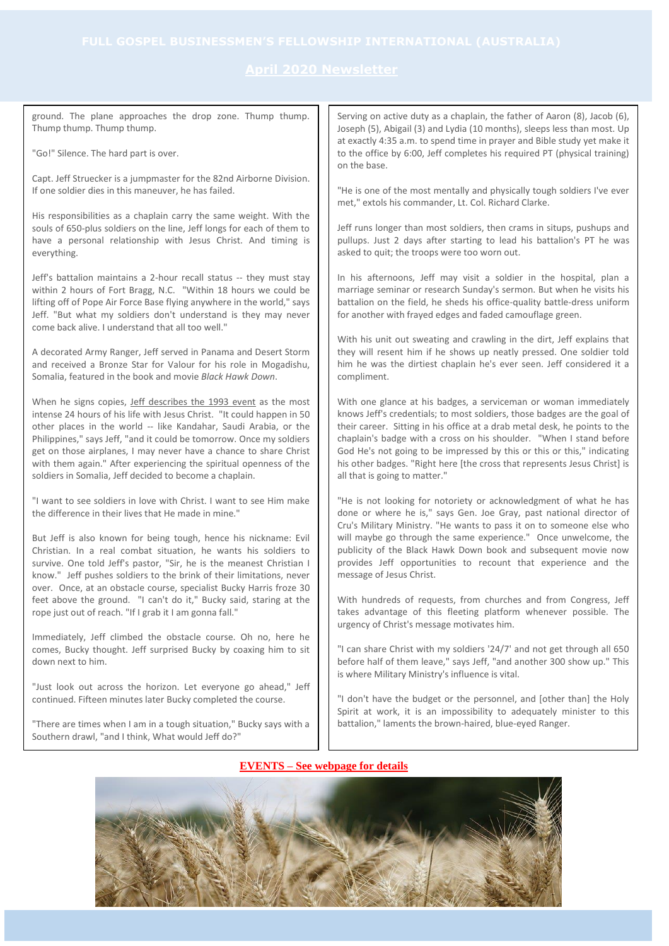Serving on active duty as a chaplain, the father of Aaron (8), Jacob (6), Joseph (5), Abigail (3) and Lydia (10 months), sleeps less than most. Up at exactly 4:35 a.m. to spend time in prayer and Bible study yet make it to the office by 6:00, Jeff completes his required PT (physical training) on the base. "He is one of the most mentally and physically tough soldiers I've ever met," extols his commander, Lt. Col. Richard Clarke. Jeff runs longer than most soldiers, then crams in situps, pushups and pullups. Just 2 days after starting to lead his battalion's PT he was asked to quit; the troops were too worn out. In his afternoons, Jeff may visit a soldier in the hospital, plan a marriage seminar or research Sunday's sermon. But when he visits his battalion on the field, he sheds his office-quality battle-dress uniform for another with frayed edges and faded camouflage green. With his unit out sweating and crawling in the dirt, Jeff explains that they will resent him if he shows up neatly pressed. One soldier told him he was the dirtiest chaplain he's ever seen. Jeff considered it a compliment. With one glance at his badges, a serviceman or woman immediately knows Jeff's credentials; to most soldiers, those badges are the goal of their career. Sitting in his office at a drab metal desk, he points to the chaplain's badge with a cross on his shoulder. "When I stand before God He's not going to be impressed by this or this or this," indicating his other badges. "Right here [the cross that represents Jesus Christ] is all that is going to matter." "He is not looking for notoriety or acknowledgment of what he has done or where he is," says Gen. Joe Gray, past national director of Cru's Military Ministry. "He wants to pass it on to someone else who will maybe go through the same experience." Once unwelcome, the publicity of the Black Hawk Down book and subsequent movie now provides Jeff opportunities to recount that experience and the message of Jesus Christ. With hundreds of requests, from churches and from Congress, Jeff takes advantage of this fleeting platform whenever possible. The urgency of Christ's message motivates him. "I can share Christ with my soldiers '24/7' and not get through all 650 before half of them leave," says Jeff, "and another 300 show up." This is where Military Ministry's influence is vital. "I don't have the budget or the personnel, and [other than] the Holy Spirit at work, it is an impossibility to adequately minister to this battalion," laments the brown-haired, blue-eyed Ranger. ground. The plane approaches the drop zone. Thump thump. Thump thump. Thump thump. "Go!" Silence. The hard part is over. Capt. Jeff Struecker is a jumpmaster for the 82nd Airborne Division. If one soldier dies in this maneuver, he has failed. His responsibilities as a chaplain carry the same weight. With the souls of 650-plus soldiers on the line, Jeff longs for each of them to have a personal relationship with Jesus Christ. And timing is everything. Jeff's battalion maintains a 2-hour recall status -- they must stay within 2 hours of Fort Bragg, N.C. "Within 18 hours we could be lifting off of Pope Air Force Base flying anywhere in the world," says Jeff. "But what my soldiers don't understand is they may never come back alive. I understand that all too well." A decorated Army Ranger, Jeff served in Panama and Desert Storm and received a Bronze Star for Valour for his role in Mogadishu, Somalia, featured in the book and movie *Black Hawk Down*. When he signs copies, [Jeff describes the 1993 event](https://www.cru.org/us/en/communities/military/beyond-blackhawk-down.html) as the most intense 24 hours of his life with Jesus Christ. "It could happen in 50 other places in the world -- like Kandahar, Saudi Arabia, or the Philippines," says Jeff, "and it could be tomorrow. Once my soldiers get on those airplanes, I may never have a chance to share Christ with them again." After experiencing the spiritual openness of the soldiers in Somalia, Jeff decided to become a chaplain. "I want to see soldiers in love with Christ. I want to see Him make the difference in their lives that He made in mine." But Jeff is also known for being tough, hence his nickname: Evil Christian. In a real combat situation, he wants his soldiers to survive. One told Jeff's pastor, "Sir, he is the meanest Christian I know." Jeff pushes soldiers to the brink of their limitations, never over. Once, at an obstacle course, specialist Bucky Harris froze 30 feet above the ground. "I can't do it," Bucky said, staring at the rope just out of reach. "If I grab it I am gonna fall." Immediately, Jeff climbed the obstacle course. Oh no, here he comes, Bucky thought. Jeff surprised Bucky by coaxing him to sit down next to him. "Just look out across the horizon. Let everyone go ahead," Jeff continued. Fifteen minutes later Bucky completed the course. "There are times when I am in a tough situation," Bucky says with a Southern drawl, "and I think, What would Jeff do?"